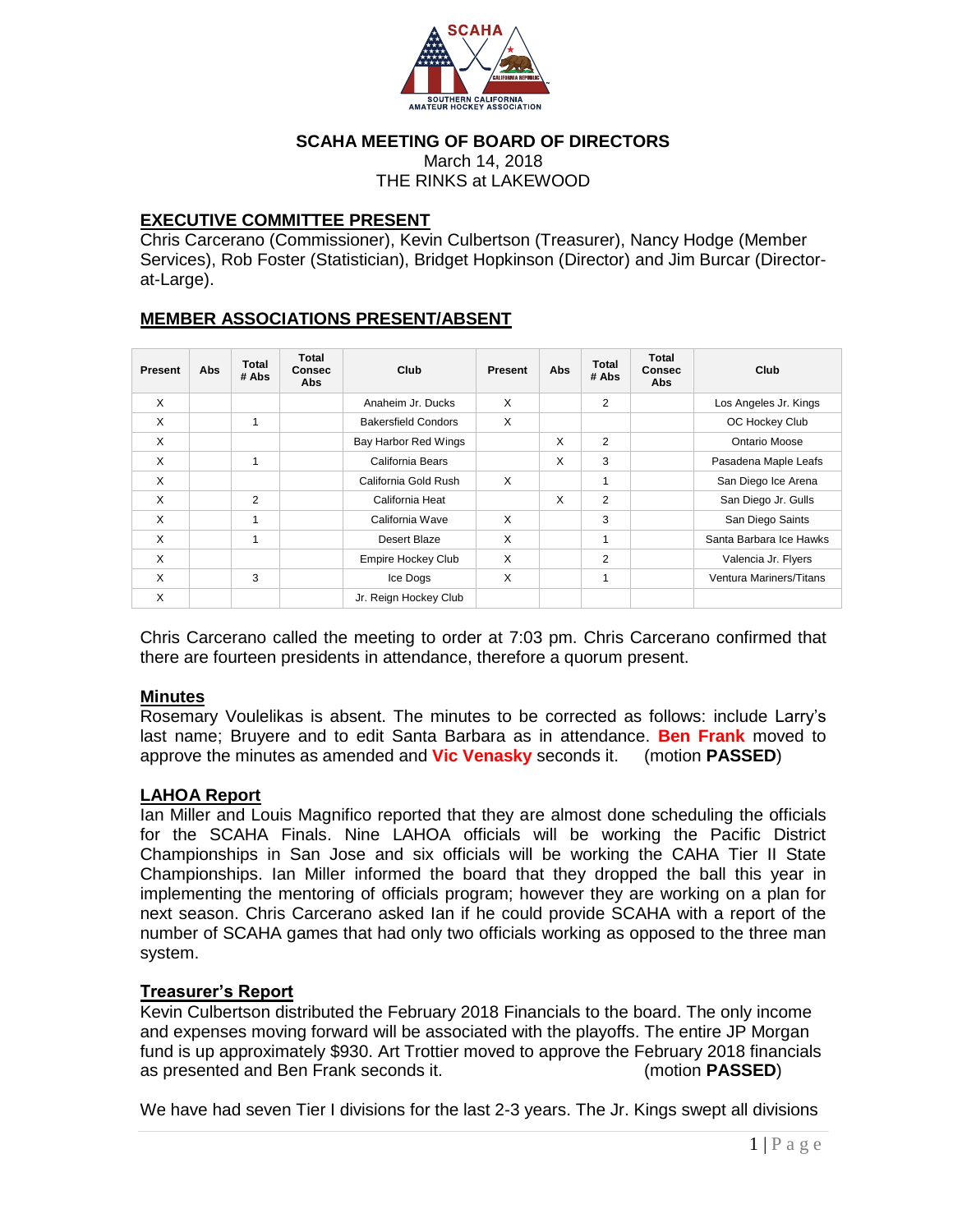

#### **SCAHA MEETING OF BOARD OF DIRECTORS**

March 14, 2018 THE RINKS at LAKEWOOD

#### **EXECUTIVE COMMITTEE PRESENT**

Chris Carcerano (Commissioner), Kevin Culbertson (Treasurer), Nancy Hodge (Member Services), Rob Foster (Statistician), Bridget Hopkinson (Director) and Jim Burcar (Directorat-Large).

## **MEMBER ASSOCIATIONS PRESENT/ABSENT**

| <b>Present</b> | Abs | Total<br># Abs | <b>Total</b><br><b>Consec</b><br><b>Abs</b> | Club                       | <b>Present</b> | Abs | Total<br># Abs | <b>Total</b><br><b>Consec</b><br>Abs | Club                    |
|----------------|-----|----------------|---------------------------------------------|----------------------------|----------------|-----|----------------|--------------------------------------|-------------------------|
| $\times$       |     |                |                                             | Anaheim Jr. Ducks          | X              |     | 2              |                                      | Los Angeles Jr. Kings   |
| X              |     | 1              |                                             | <b>Bakersfield Condors</b> | X              |     |                |                                      | OC Hockey Club          |
| X              |     |                |                                             | Bay Harbor Red Wings       |                | X   | $\overline{2}$ |                                      | Ontario Moose           |
| X              |     | ۸              |                                             | California Bears           |                | X   | 3              |                                      | Pasadena Maple Leafs    |
| $\times$       |     |                |                                             | California Gold Rush       | X              |     | 1              |                                      | San Diego Ice Arena     |
| X              |     | 2              |                                             | California Heat            |                | X   | $\overline{2}$ |                                      | San Diego Jr. Gulls     |
| X              |     |                |                                             | California Wave            | X              |     | 3              |                                      | San Diego Saints        |
| X              |     | ۸              |                                             | Desert Blaze               | $\times$       |     | 1              |                                      | Santa Barbara Ice Hawks |
| X              |     |                |                                             | <b>Empire Hockey Club</b>  | X              |     | $\overline{2}$ |                                      | Valencia Jr. Flyers     |
| X              |     | 3              |                                             | Ice Dogs                   | $\times$       |     | 1              |                                      | Ventura Mariners/Titans |
| X              |     |                |                                             | Jr. Reign Hockey Club      |                |     |                |                                      |                         |

Chris Carcerano called the meeting to order at 7:03 pm. Chris Carcerano confirmed that there are fourteen presidents in attendance, therefore a quorum present.

#### **Minutes**

Rosemary Voulelikas is absent. The minutes to be corrected as follows: include Larry's last name; Bruyere and to edit Santa Barbara as in attendance. **Ben Frank** moved to approve the minutes as amended and **Vic Venasky** seconds it. (motion **PASSED**)

#### **LAHOA Report**

Ian Miller and Louis Magnifico reported that they are almost done scheduling the officials for the SCAHA Finals. Nine LAHOA officials will be working the Pacific District Championships in San Jose and six officials will be working the CAHA Tier II State Championships. Ian Miller informed the board that they dropped the ball this year in implementing the mentoring of officials program; however they are working on a plan for next season. Chris Carcerano asked Ian if he could provide SCAHA with a report of the number of SCAHA games that had only two officials working as opposed to the three man system.

## **Treasurer's Report**

Kevin Culbertson distributed the February 2018 Financials to the board. The only income and expenses moving forward will be associated with the playoffs. The entire JP Morgan fund is up approximately \$930. Art Trottier moved to approve the February 2018 financials as presented and Ben Frank seconds it. (motion **PASSED**)

We have had seven Tier I divisions for the last 2-3 years. The Jr. Kings swept all divisions